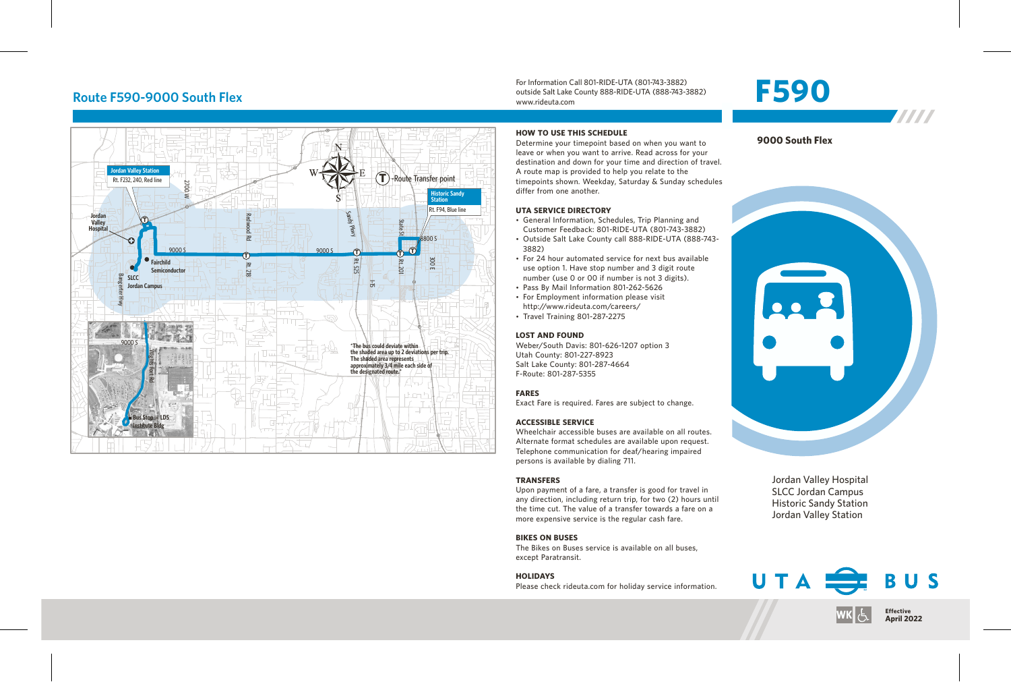## **Route F590-9000 South Flex**



For Information Call 801-RIDE-UTA (801-743-3882) outside Salt Lake County 888-RIDE-UTA (888-743-3882) www.rideuta.com

# **F590**



#### **HOW TO USE THIS SCHEDULE**

Determine your timepoint based on when you want to leave or when you want to arrive. Read across for your destination and down for your time and direction of travel. A route map is provided to help you relate to the timepoints shown. Weekday, Saturday & Sunday schedules differ from one another.

#### **UTA SERVICE DIRECTORY**

- General Information, Schedules, Trip Planning and Customer Feedback: 801-RIDE-UTA (801-743-3882)
- Outside Salt Lake County call 888-RIDE-UTA (888-743-3882)
- For 24 hour automated service for next bus available use option 1. Have stop number and 3 digit route number (use 0 or 00 if number is not 3 digits).
- Pass By Mail Information 801-262-5626
- For Employment information please visit http://www.rideuta.com/careers/
- $\cdot$  Travel Training 801-287-2275

#### **LOST AND FOUND**

Weber/South Davis: 801-626-1207 option 3 Utah County: 801-227-8923 Salt Lake County: 801-287-4664 F-Route: 801-287-5355

#### **FARES**

Exact Fare is required. Fares are subject to change.

#### **ACCESSIBLE SERVICE**

Wheelchair accessible buses are available on all routes. Alternate format schedules are available upon request. Telephone communication for deaf/hearing impaired persons is available by dialing 711.

#### **TRANSFERS**

Upon payment of a fare, a transfer is good for travel in any direction, including return trip, for two (2) hours until the time cut. The value of a transfer towards a fare on a more expensive service is the regular cash fare.

#### **BIKES ON BUSES**

The Bikes on Buses service is available on all buses, except Paratransit.

#### **HOLIDAYS**

Please check rideuta.com for holiday service information.





Jordan Valley Hospital SLCC Jordan Campus Historic Sandy Station Jordan Valley Station